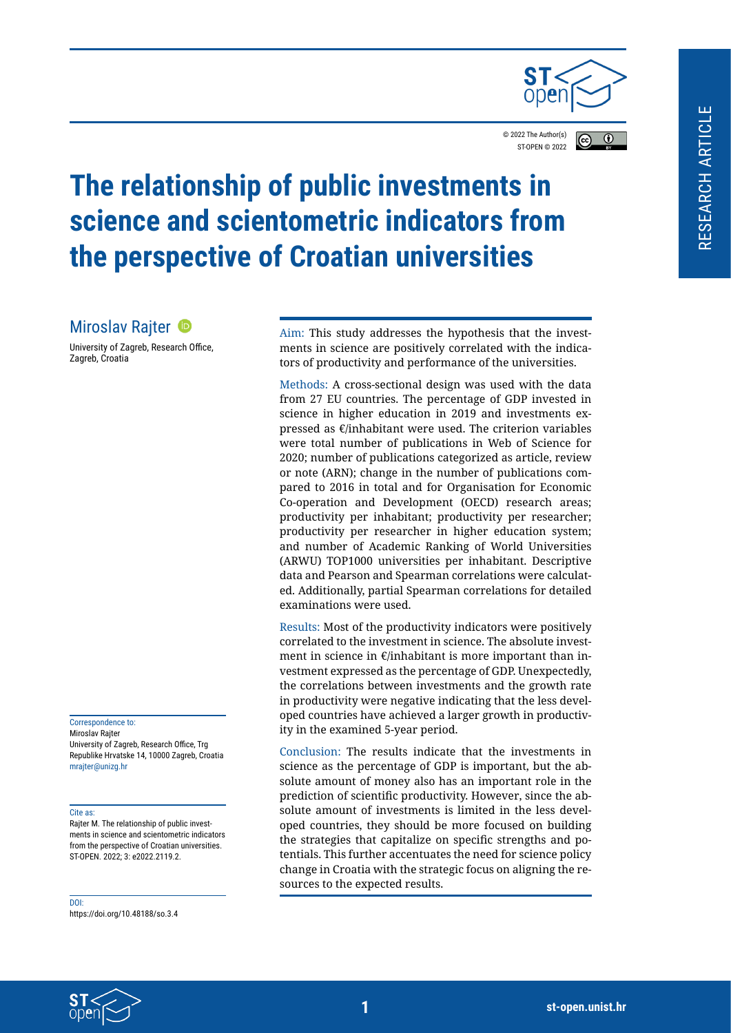

© 2022 The Author(s)  $\overline{r}$ ST-OPEN © 202[2](https://creativecommons.org/licenses/by/4.0/legalcode)

# **The relationship of public investments in science and scientometric indicators from the perspective of Croatian universities**

# MiroslavRajter <sup>®</sup>

University of Zagreb, Research Office, Zagreb, Croatia

Correspondence to: Miroslav Rajter University of Zagreb, Research Office, Trg Republike Hrvatske 14, 10000 Zagreb, Croatia mrajter@unizg.hr

#### Cite as:

Rajter M. The relationship of public investments in science and scientometric indicators from the perspective of Croatian universities. ST-OPEN. 2022; 3: e2022.2119.2.

DOI:

https://doi.org/10.48188/so.3.4

Aim: This study addresses the hypothesis that the investments in science are positively correlated with the indicators of productivity and performance of the universities.

Methods: A cross-sectional design was used with the data from 27 EU countries. The percentage of GDP invested in science in higher education in 2019 and investments expressed as €/inhabitant were used. The criterion variables were total number of publications in Web of Science for 2020; number of publications categorized as article, review or note (ARN); change in the number of publications compared to 2016 in total and for Organisation for Economic Co-operation and Development (OECD) research areas; productivity per inhabitant; productivity per researcher; productivity per researcher in higher education system; and number of Academic Ranking of World Universities (ARWU) TOP1000 universities per inhabitant. Descriptive data and Pearson and Spearman correlations were calculated. Additionally, partial Spearman correlations for detailed examinations were used.

Results: Most of the productivity indicators were positively correlated to the investment in science. The absolute investment in science in €/inhabitant is more important than investment expressed as the percentage of GDP. Unexpectedly, the correlations between investments and the growth rate in productivity were negative indicating that the less developed countries have achieved a larger growth in productivity in the examined 5-year period.

Conclusion: The results indicate that the investments in science as the percentage of GDP is important, but the absolute amount of money also has an important role in the prediction of scientific productivity. However, since the absolute amount of investments is limited in the less developed countries, they should be more focused on building the strategies that capitalize on specific strengths and potentials. This further accentuates the need for science policy change in Croatia with the strategic focus on aligning the resources to the expected results.

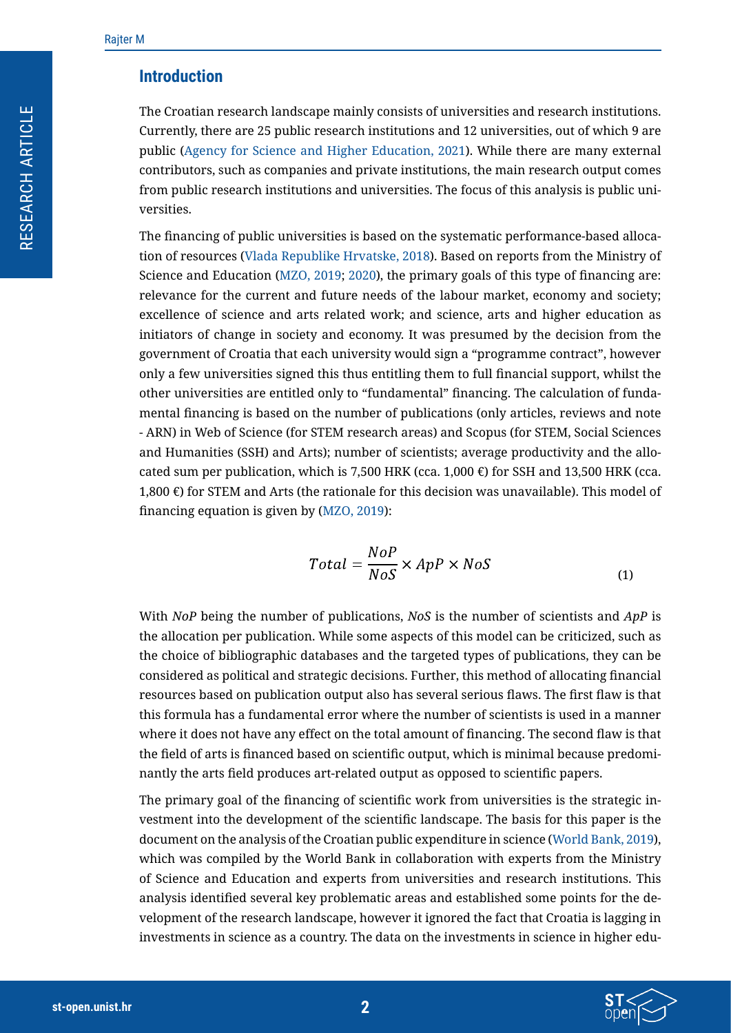### **Introduction**

The Croatian research landscape mainly consists of universities and research institutions. Currently, there are 25 public research institutions and 12 universities, out of which 9 are public ([Agency for Science and Higher Education, 2021](#page-4-0)). While there are many external contributors, such as companies and private institutions, the main research output comes from public research institutions and universities. The focus of this analysis is public universities.

The financing of public universities is based on the systematic performance-based allocation of resources ([Vlada Republike Hrvatske, 2018](#page-4-1)). Based on reports from the Ministry of Science and Education ([MZO, 2019](#page-11-0); [2020](#page-11-1)), the primary goals of this type of financing are: relevance for the current and future needs of the labour market, economy and society; excellence of science and arts related work; and science, arts and higher education as initiators of change in society and economy. It was presumed by the decision from the government of Croatia that each university would sign a "programme contract", however only a few universities signed this thus entitling them to full financial support, whilst the other universities are entitled only to "fundamental" financing. The calculation of fundamental financing is based on the number of publications (only articles, reviews and note - ARN) in Web of Science (for STEM research areas) and Scopus (for STEM, Social Sciences and Humanities (SSH) and Arts); number of scientists; average productivity and the allocated sum per publication, which is 7,500 HRK (cca. 1,000  $\epsilon$ ) for SSH and 13,500 HRK (cca. 1,800 €) for STEM and Arts (the rationale for this decision was unavailable). This model of financing equation is given by ([MZO, 2019](#page-11-0)):

$$
Total = \frac{NoP}{NoS} \times App \times NoS
$$
 (1)

With *NoP* being the number of publications, *NoS* is the number of scientists and *ApP* is the allocation per publication. While some aspects of this model can be criticized, such as the choice of bibliographic databases and the targeted types of publications, they can be considered as political and strategic decisions. Further, this method of allocating financial resources based on publication output also has several serious flaws. The first flaw is that this formula has a fundamental error where the number of scientists is used in a manner where it does not have any effect on the total amount of financing. The second flaw is that the field of arts is financed based on scientific output, which is minimal because predominantly the arts field produces art-related output as opposed to scientific papers.

The primary goal of the financing of scientific work from universities is the strategic investment into the development of the scientific landscape. The basis for this paper is the document on the analysis of the Croatian public expenditure in science ([World Bank, 2019\)](#page-11-2), which was compiled by the World Bank in collaboration with experts from the Ministry of Science and Education and experts from universities and research institutions. This analysis identified several key problematic areas and established some points for the development of the research landscape, however it ignored the fact that Croatia is lagging in investments in science as a country. The data on the investments in science in higher edu-

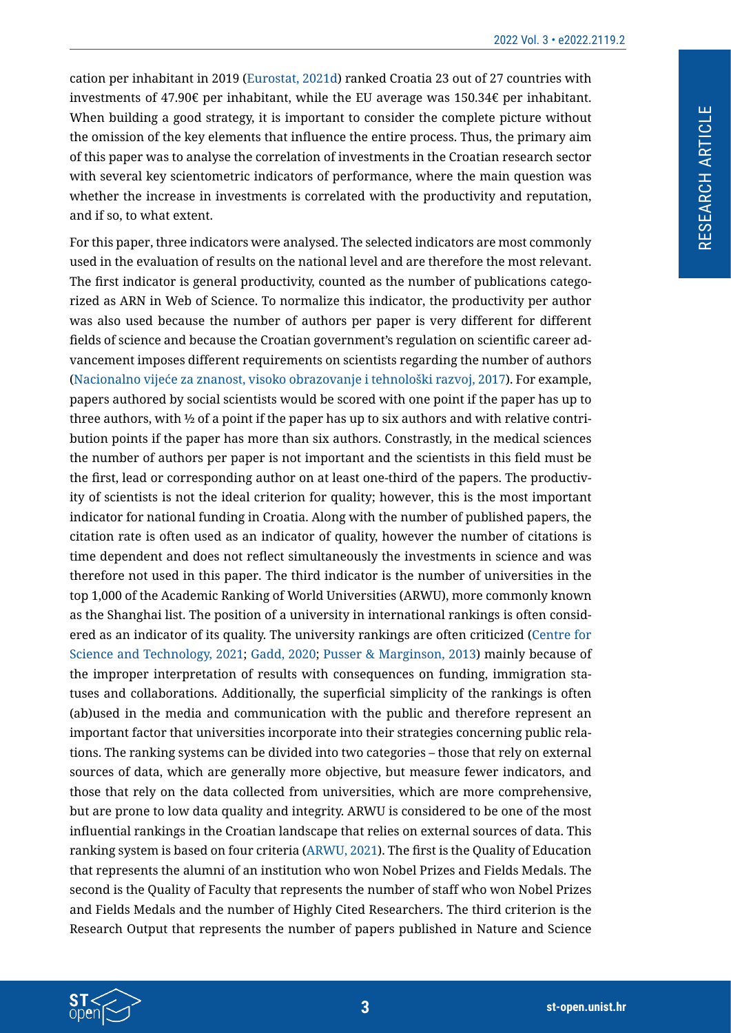cation per inhabitant in 2019 [\(Eurostat, 2021d](#page-10-0)) ranked Croatia 23 out of 27 countries with investments of 47.90€ per inhabitant, while the EU average was 150.34€ per inhabitant. When building a good strategy, it is important to consider the complete picture without the omission of the key elements that influence the entire process. Thus, the primary aim of this paper was to analyse the correlation of investments in the Croatian research sector with several key scientometric indicators of performance, where the main question was whether the increase in investments is correlated with the productivity and reputation, and if so, to what extent.

For this paper, three indicators were analysed. The selected indicators are most commonly used in the evaluation of results on the national level and are therefore the most relevant. The first indicator is general productivity, counted as the number of publications categorized as ARN in Web of Science. To normalize this indicator, the productivity per author was also used because the number of authors per paper is very different for different fields of science and because the Croatian government's regulation on scientific career advancement imposes different requirements on scientists regarding the number of authors (Nacionalno vijeće za znanost, visoko obrazovanje i tehnološki razvoj, 2017). For example, papers authored by social scientists would be scored with one point if the paper has up to three authors, with ½ of a point if the paper has up to six authors and with relative contribution points if the paper has more than six authors. Constrastly, in the medical sciences the number of authors per paper is not important and the scientists in this field must be the first, lead or corresponding author on at least one-third of the papers. The productivity of scientists is not the ideal criterion for quality; however, this is the most important indicator for national funding in Croatia. Along with the number of published papers, the citation rate is often used as an indicator of quality, however the number of citations is time dependent and does not reflect simultaneously the investments in science and was therefore not used in this paper. The third indicator is the number of universities in the top 1,000 of the Academic Ranking of World Universities (ARWU), more commonly known as the Shanghai list. The position of a university in international rankings is often considered as an indicator of its quality. The university rankings are often criticized ([Centre for](#page-10-1)  [Science and Technology, 2021](#page-10-1); [Gadd, 2020](#page-10-2); [Pusser & Marginson, 2013](#page-11-3)) mainly because of the improper interpretation of results with consequences on funding, immigration statuses and collaborations. Additionally, the superficial simplicity of the rankings is often (ab)used in the media and communication with the public and therefore represent an important factor that universities incorporate into their strategies concerning public relations. The ranking systems can be divided into two categories – those that rely on external sources of data, which are generally more objective, but measure fewer indicators, and those that rely on the data collected from universities, which are more comprehensive, but are prone to low data quality and integrity. ARWU is considered to be one of the most influential rankings in the Croatian landscape that relies on external sources of data. This ranking system is based on four criteria ([ARWU, 2021](#page-10-3)). The first is the Quality of Education that represents the alumni of an institution who won Nobel Prizes and Fields Medals. The second is the Quality of Faculty that represents the number of staff who won Nobel Prizes and Fields Medals and the number of Highly Cited Researchers. The third criterion is the Research Output that represents the number of papers published in Nature and Science

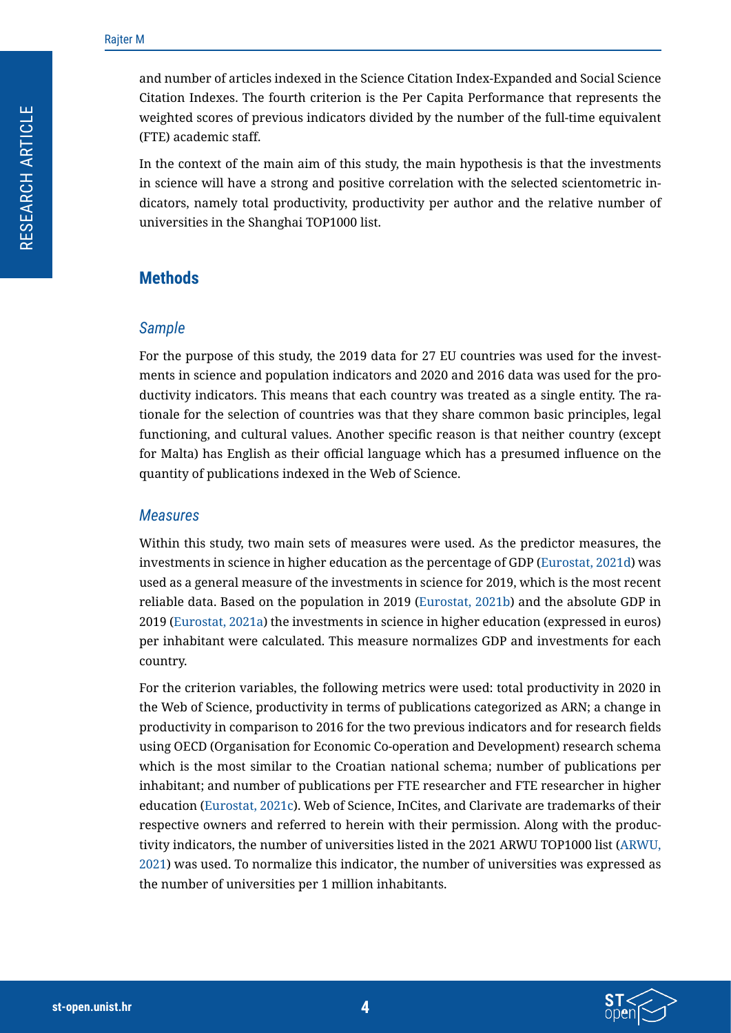and number of articles indexed in the Science Citation Index-Expanded and Social Science Citation Indexes. The fourth criterion is the Per Capita Performance that represents the weighted scores of previous indicators divided by the number of the full-time equivalent (FTE) academic staff.

In the context of the main aim of this study, the main hypothesis is that the investments in science will have a strong and positive correlation with the selected scientometric indicators, namely total productivity, productivity per author and the relative number of universities in the Shanghai TOP1000 list.

# **Methods**

#### *Sample*

For the purpose of this study, the 2019 data for 27 EU countries was used for the investments in science and population indicators and 2020 and 2016 data was used for the productivity indicators. This means that each country was treated as a single entity. The rationale for the selection of countries was that they share common basic principles, legal functioning, and cultural values. Another specific reason is that neither country (except for Malta) has English as their official language which has a presumed influence on the quantity of publications indexed in the Web of Science.

#### *Measures*

Within this study, two main sets of measures were used. As the predictor measures, the investments in science in higher education as the percentage of GDP ([Eurostat, 2021d](#page-10-0)) was used as a general measure of the investments in science for 2019, which is the most recent reliable data. Based on the population in 2019 [\(Eurostat, 2021b\)](#page-10-4) and the absolute GDP in 2019 ([Eurostat, 2021a\)](#page-10-5) the investments in science in higher education (expressed in euros) per inhabitant were calculated. This measure normalizes GDP and investments for each country.

For the criterion variables, the following metrics were used: total productivity in 2020 in the Web of Science, productivity in terms of publications categorized as ARN; a change in productivity in comparison to 2016 for the two previous indicators and for research fields using OECD (Organisation for Economic Co-operation and Development) research schema which is the most similar to the Croatian national schema; number of publications per inhabitant; and number of publications per FTE researcher and FTE researcher in higher education ([Eurostat, 2021c](#page-10-6)). Web of Science, InCites, and Clarivate are trademarks of their respective owners and referred to herein with their permission. Along with the productivity indicators, the number of universities listed in the 2021 ARWU TOP1000 list [\(ARWU,](#page-10-3)  [2021\)](#page-10-3) was used. To normalize this indicator, the number of universities was expressed as the number of universities per 1 million inhabitants.

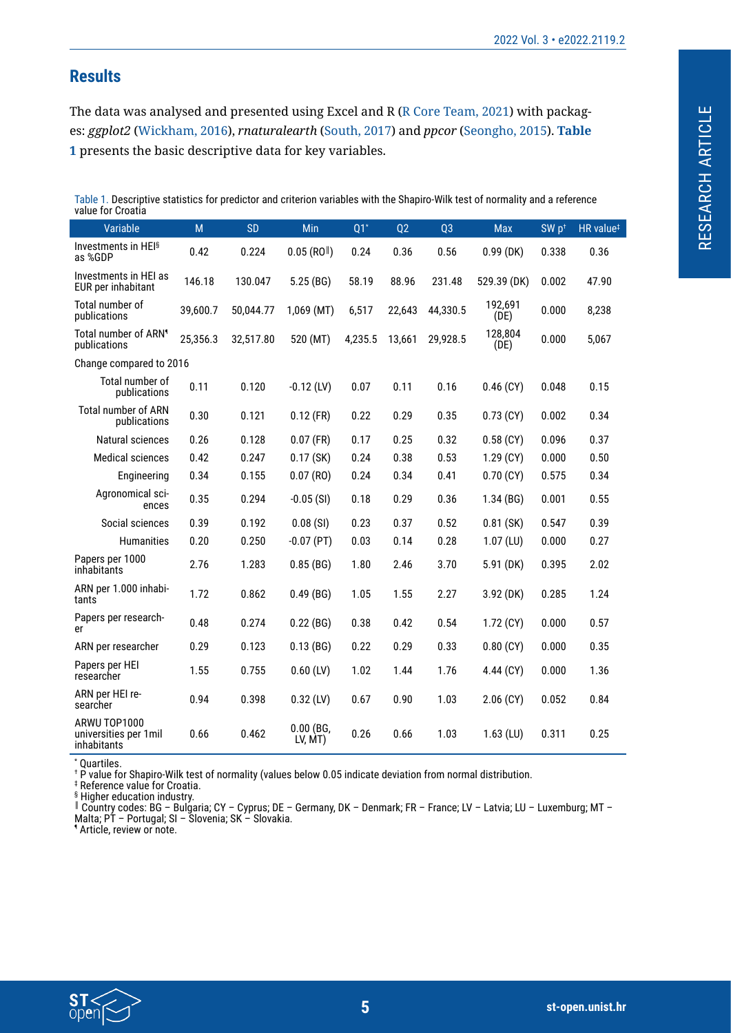# **Results**

The data was analysed and presented using Excel and R ([R Core Team, 2021\)](#page-11-4) with packages: *ggplot2* ([Wickham, 2016\)](#page-11-5), *rnaturalearth* [\(South, 2017\)](#page-11-6) and *ppcor* ([Seongho, 2015\)](#page-11-7). **[Table](#page-4-0)  [1](#page-4-0)** presents the basic descriptive data for key variables.

<span id="page-4-1"></span><span id="page-4-0"></span>Table 1. Descriptive statistics for predictor and criterion variables with the Shapiro-Wilk test of normality and a reference value for Croatia

| Variable                                              | M        | <b>SD</b> | Min                        | $Q1^*$  | Q2     | Q <sub>3</sub> | <b>Max</b>      | SW p <sup>+</sup> | HR value <sup>#</sup> |
|-------------------------------------------------------|----------|-----------|----------------------------|---------|--------|----------------|-----------------|-------------------|-----------------------|
| Investments in HEI <sup>§</sup><br>as %GDP            | 0.42     | 0.224     | $0.05$ (RO <sup>  </sup> ) | 0.24    | 0.36   | 0.56           | $0.99$ (DK)     | 0.338             | 0.36                  |
| Investments in HEI as<br>EUR per inhabitant           | 146.18   | 130.047   | 5.25 (BG)                  | 58.19   | 88.96  | 231.48         | 529.39 (DK)     | 0.002             | 47.90                 |
| Total number of<br>publications                       | 39,600.7 | 50,044.77 | 1,069 (MT)                 | 6,517   | 22,643 | 44,330.5       | 192,691<br>(DE) | 0.000             | 8,238                 |
| Total number of ARN <sup>®</sup><br>publications      | 25,356.3 | 32,517.80 | 520 (MT)                   | 4,235.5 | 13,661 | 29,928.5       | 128,804<br>(DE) | 0.000             | 5,067                 |
| Change compared to 2016                               |          |           |                            |         |        |                |                 |                   |                       |
| Total number of<br>publications                       | 0.11     | 0.120     | $-0.12$ (LV)               | 0.07    | 0.11   | 0.16           | $0.46$ (CY)     | 0.048             | 0.15                  |
| Total number of ARN<br>publications                   | 0.30     | 0.121     | $0.12$ (FR)                | 0.22    | 0.29   | 0.35           | $0.73$ (CY)     | 0.002             | 0.34                  |
| Natural sciences                                      | 0.26     | 0.128     | $0.07$ (FR)                | 0.17    | 0.25   | 0.32           | $0.58$ (CY)     | 0.096             | 0.37                  |
| <b>Medical sciences</b>                               | 0.42     | 0.247     | $0.17$ (SK)                | 0.24    | 0.38   | 0.53           | $1.29$ (CY)     | 0.000             | 0.50                  |
| Engineering                                           | 0.34     | 0.155     | $0.07$ (RO)                | 0.24    | 0.34   | 0.41           | $0.70$ (CY)     | 0.575             | 0.34                  |
| Agronomical sci-<br>ences                             | 0.35     | 0.294     | $-0.05$ (SI)               | 0.18    | 0.29   | 0.36           | 1.34(BG)        | 0.001             | 0.55                  |
| Social sciences                                       | 0.39     | 0.192     | 0.08(SI)                   | 0.23    | 0.37   | 0.52           | $0.81$ (SK)     | 0.547             | 0.39                  |
| Humanities                                            | 0.20     | 0.250     | $-0.07$ (PT)               | 0.03    | 0.14   | 0.28           | $1.07$ (LU)     | 0.000             | 0.27                  |
| Papers per 1000<br>inhabitants                        | 2.76     | 1.283     | 0.85(BG)                   | 1.80    | 2.46   | 3.70           | 5.91 (DK)       | 0.395             | 2.02                  |
| ARN per 1.000 inhabi-<br>tants                        | 1.72     | 0.862     | $0.49$ (BG)                | 1.05    | 1.55   | 2.27           | 3.92 (DK)       | 0.285             | 1.24                  |
| Papers per research-<br>er                            | 0.48     | 0.274     | 0.22(BG)                   | 0.38    | 0.42   | 0.54           | $1.72$ (CY)     | 0.000             | 0.57                  |
| ARN per researcher                                    | 0.29     | 0.123     | 0.13(BG)                   | 0.22    | 0.29   | 0.33           | $0.80$ (CY)     | 0.000             | 0.35                  |
| Papers per HEI<br>researcher                          | 1.55     | 0.755     | $0.60$ (LV)                | 1.02    | 1.44   | 1.76           | 4.44 (CY)       | 0.000             | 1.36                  |
| ARN per HEI re-<br>searcher                           | 0.94     | 0.398     | $0.32$ (LV)                | 0.67    | 0.90   | 1.03           | $2.06$ (CY)     | 0.052             | 0.84                  |
| ARWU TOP1000<br>universities per 1 mil<br>inhabitants | 0.66     | 0.462     | $0.00$ (BG,<br>LV, MT)     | 0.26    | 0.66   | 1.03           | $1.63$ (LU)     | 0.311             | 0.25                  |

\* Quartiles.

† P value for Shapiro-Wilk test of normality (values below 0.05 indicate deviation from normal distribution.

‡ Reference value for Croatia.

§ Higher education industry.

║ Country codes: BG – Bulgaria; CY – Cyprus; DE – Germany, DK – Denmark; FR – France; LV – Latvia; LU – Luxemburg; MT – Malta; PT – Portugal; SI – Slovenia; SK – Slovakia.

¶ Article, review or note.

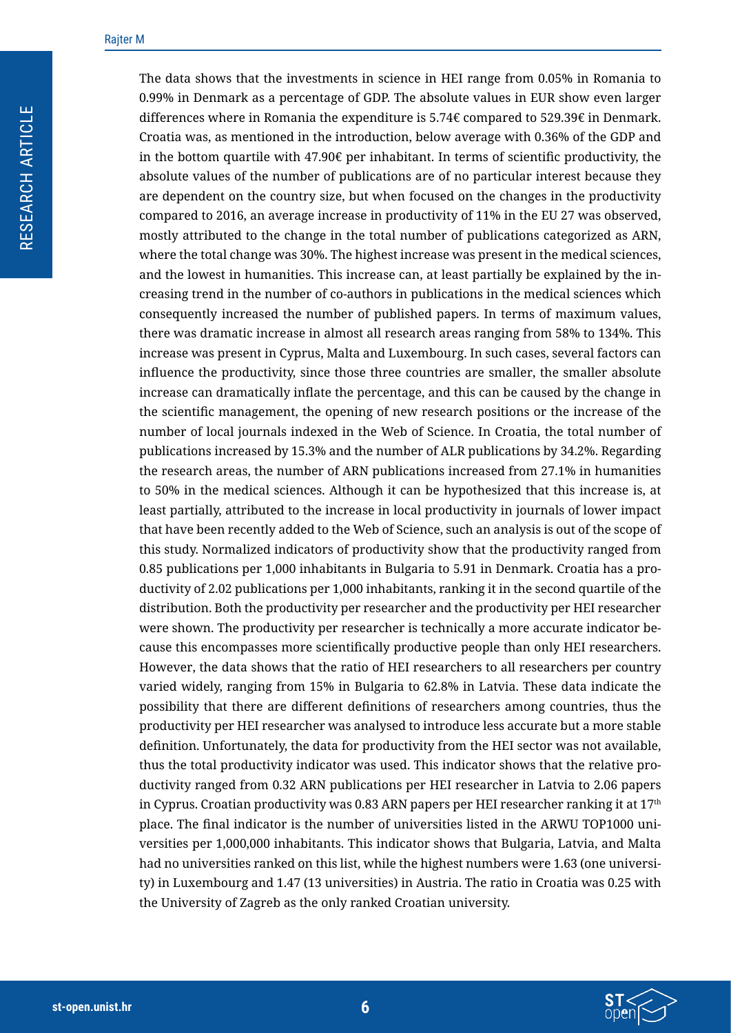The data shows that the investments in science in HEI range from 0.05% in Romania to 0.99% in Denmark as a percentage of GDP. The absolute values in EUR show even larger differences where in Romania the expenditure is  $5.74\epsilon$  compared to  $529.39\epsilon$  in Denmark. Croatia was, as mentioned in the introduction, below average with 0.36% of the GDP and in the bottom quartile with  $47.90\epsilon$  per inhabitant. In terms of scientific productivity, the absolute values of the number of publications are of no particular interest because they are dependent on the country size, but when focused on the changes in the productivity compared to 2016, an average increase in productivity of 11% in the EU 27 was observed, mostly attributed to the change in the total number of publications categorized as ARN, where the total change was 30%. The highest increase was present in the medical sciences, and the lowest in humanities. This increase can, at least partially be explained by the increasing trend in the number of co-authors in publications in the medical sciences which consequently increased the number of published papers. In terms of maximum values, there was dramatic increase in almost all research areas ranging from 58% to 134%. This increase was present in Cyprus, Malta and Luxembourg. In such cases, several factors can influence the productivity, since those three countries are smaller, the smaller absolute increase can dramatically inflate the percentage, and this can be caused by the change in the scientific management, the opening of new research positions or the increase of the number of local journals indexed in the Web of Science. In Croatia, the total number of publications increased by 15.3% and the number of ALR publications by 34.2%. Regarding the research areas, the number of ARN publications increased from 27.1% in humanities to 50% in the medical sciences. Although it can be hypothesized that this increase is, at least partially, attributed to the increase in local productivity in journals of lower impact that have been recently added to the Web of Science, such an analysis is out of the scope of this study. Normalized indicators of productivity show that the productivity ranged from 0.85 publications per 1,000 inhabitants in Bulgaria to 5.91 in Denmark. Croatia has a productivity of 2.02 publications per 1,000 inhabitants, ranking it in the second quartile of the distribution. Both the productivity per researcher and the productivity per HEI researcher were shown. The productivity per researcher is technically a more accurate indicator because this encompasses more scientifically productive people than only HEI researchers. However, the data shows that the ratio of HEI researchers to all researchers per country varied widely, ranging from 15% in Bulgaria to 62.8% in Latvia. These data indicate the possibility that there are different definitions of researchers among countries, thus the productivity per HEI researcher was analysed to introduce less accurate but a more stable definition. Unfortunately, the data for productivity from the HEI sector was not available, thus the total productivity indicator was used. This indicator shows that the relative productivity ranged from 0.32 ARN publications per HEI researcher in Latvia to 2.06 papers in Cyprus. Croatian productivity was 0.83 ARN papers per HEI researcher ranking it at  $17<sup>th</sup>$ place. The final indicator is the number of universities listed in the ARWU TOP1000 universities per 1,000,000 inhabitants. This indicator shows that Bulgaria, Latvia, and Malta had no universities ranked on this list, while the highest numbers were 1.63 (one university) in Luxembourg and 1.47 (13 universities) in Austria. The ratio in Croatia was 0.25 with the University of Zagreb as the only ranked Croatian university.

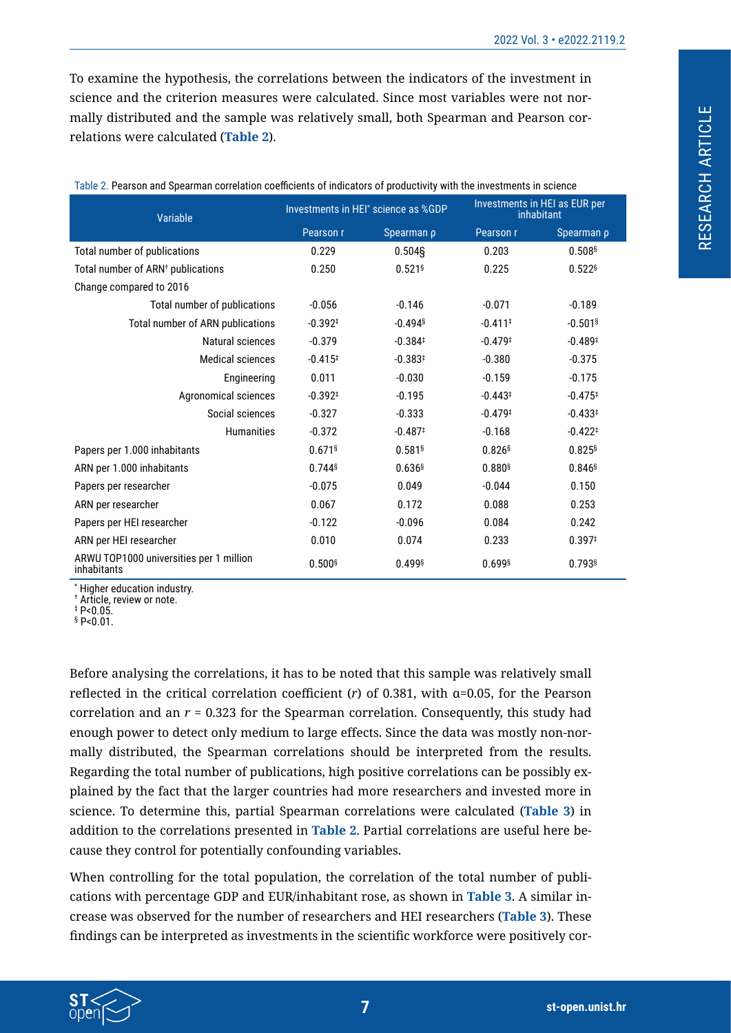To examine the hypothesis, the correlations between the indicators of the investment in science and the criterion measures were calculated. Since most variables were not normally distributed and the sample was relatively small, both Spearman and Pearson correlations were calculated (**[Table 2](#page-6-0)**).

| Variable                                               |                       | Investments in HEI* science as %GDP | Investments in HEI as EUR per<br>inhabitant |                       |  |
|--------------------------------------------------------|-----------------------|-------------------------------------|---------------------------------------------|-----------------------|--|
|                                                        | Pearson r             | Spearman p                          | Pearson r                                   | Spearman p            |  |
| Total number of publications                           | 0.229                 | 0.504S                              | 0.203                                       | 0.508§                |  |
| Total number of ARN <sup>+</sup> publications          | 0.250                 | $0.521$ <sup>§</sup>                | 0.225                                       | $0.522$ <sup>§</sup>  |  |
| Change compared to 2016                                |                       |                                     |                                             |                       |  |
| Total number of publications                           | $-0.056$              | $-0.146$                            | $-0.071$                                    | $-0.189$              |  |
| Total number of ARN publications                       | $-0.392$ <sup>‡</sup> | $-0.494$ <sup>§</sup>               | $-0.411$ <sup>‡</sup>                       | $-0.501$ <sup>§</sup> |  |
| Natural sciences                                       | $-0.379$              | $-0.384$ <sup>‡</sup>               | $-0.479$ <sup>‡</sup>                       | $-0.489$ <sup>#</sup> |  |
| <b>Medical sciences</b>                                | $-0.415$ <sup>#</sup> | $-0.383^{+}$                        | $-0.380$                                    | $-0.375$              |  |
| Engineering                                            | 0.011                 | $-0.030$                            | $-0.159$                                    | $-0.175$              |  |
| Agronomical sciences                                   | $-0.392$ <sup>‡</sup> | $-0.195$                            | $-0.443*$                                   | $-0.475$ <sup>‡</sup> |  |
| Social sciences                                        | $-0.327$              | $-0.333$                            | $-0.479$ <sup>#</sup>                       | $-0.433*$             |  |
| <b>Humanities</b>                                      | $-0.372$              | $-0.487$                            | $-0.168$                                    | $-0.422*$             |  |
| Papers per 1.000 inhabitants                           | $0.671$ <sup>§</sup>  | $0.581$ <sup>§</sup>                | $0.826$ <sup>§</sup>                        | $0.825$ <sup>§</sup>  |  |
| ARN per 1.000 inhabitants                              | $0.744$ <sup>§</sup>  | $0.636$ <sup>§</sup>                | $0.880$ <sup>§</sup>                        | $0.846$ <sup>§</sup>  |  |
| Papers per researcher                                  | $-0.075$              | 0.049                               | $-0.044$                                    | 0.150                 |  |
| ARN per researcher                                     | 0.067                 | 0.172                               | 0.088                                       | 0.253                 |  |
| Papers per HEI researcher                              | $-0.122$              | $-0.096$                            | 0.084                                       | 0.242                 |  |
| ARN per HEI researcher                                 | 0.010                 | 0.074                               | 0.233                                       | 0.397 <sup>†</sup>    |  |
| ARWU TOP1000 universities per 1 million<br>inhabitants | $0.500$ <sup>§</sup>  | 0.499§                              | $0.699$ <sup>§</sup>                        | $0.793$ <sup>§</sup>  |  |

<span id="page-6-0"></span>Table 2. Pearson and Spearman correlation coefficients of indicators of productivity with the investments in science

\* Higher education industry.

† Article, review or note.

‡ P<0.05.

§ P<0.01.

Before analysing the correlations, it has to be noted that this sample was relatively small reflected in the critical correlation coefficient (*r*) of 0.381, with α=0.05, for the Pearson correlation and an *r* = 0.323 for the Spearman correlation. Consequently, this study had enough power to detect only medium to large effects. Since the data was mostly non-normally distributed, the Spearman correlations should be interpreted from the results. Regarding the total number of publications, high positive correlations can be possibly explained by the fact that the larger countries had more researchers and invested more in science. To determine this, partial Spearman correlations were calculated (**[Table 3](#page-7-0)**) in addition to the correlations presented in **[Table 2](#page-6-0)**. Partial correlations are useful here because they control for potentially confounding variables.

When controlling for the total population, the correlation of the total number of publications with percentage GDP and EUR/inhabitant rose, as shown in **[Table 3](#page-7-0)**. A similar increase was observed for the number of researchers and HEI researchers (**[Table 3](#page-7-0)**). These findings can be interpreted as investments in the scientific workforce were positively cor-

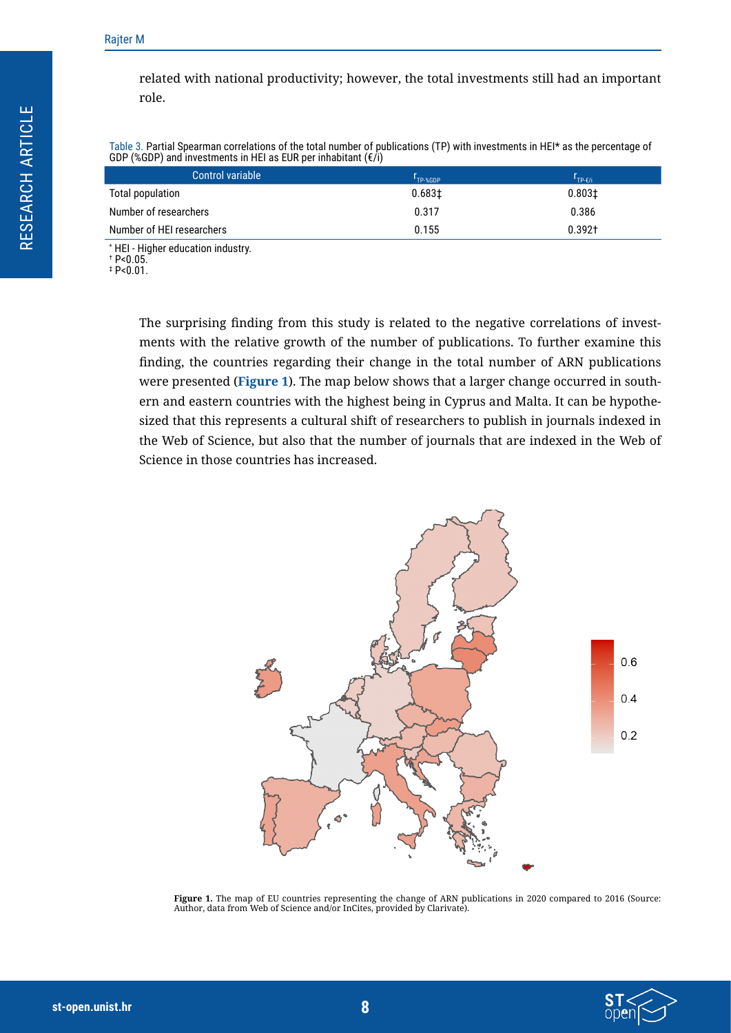related with national productivity; however, the total investments still had an important role.

<span id="page-7-0"></span>Table 3. Partial Spearman correlations of the total number of publications (TP) with investments in HEI\* as the percentage of GDP (%GDP) and investments in HEI as EUR per inhabitant  $(f)$ 

| Control variable          | I <sub>TP-%GDP</sub> | $1_{TP-f/i}$       |
|---------------------------|----------------------|--------------------|
| Total population          | 0.6831               | 0.803 <sub>1</sub> |
| Number of researchers     | 0.317                | 0.386              |
| Number of HEI researchers | 0.155                | $0.392+$           |
|                           |                      |                    |

\* HEI - Higher education industry.

† P<0.05. ‡ P<0.01.

> The surprising finding from this study is related to the negative correlations of investments with the relative growth of the number of publications. To further examine this finding, the countries regarding their change in the total number of ARN publications were presented (**[Figure 1](#page-7-1)**). The map below shows that a larger change occurred in southern and eastern countries with the highest being in Cyprus and Malta. It can be hypothesized that this represents a cultural shift of researchers to publish in journals indexed in the Web of Science, but also that the number of journals that are indexed in the Web of Science in those countries has increased.

<span id="page-7-1"></span>

**Figure 1.** The map of EU countries representing the change of ARN publications in 2020 compared to 2016 (Source: Author, data from Web of Science and/or InCites, provided by Clarivate).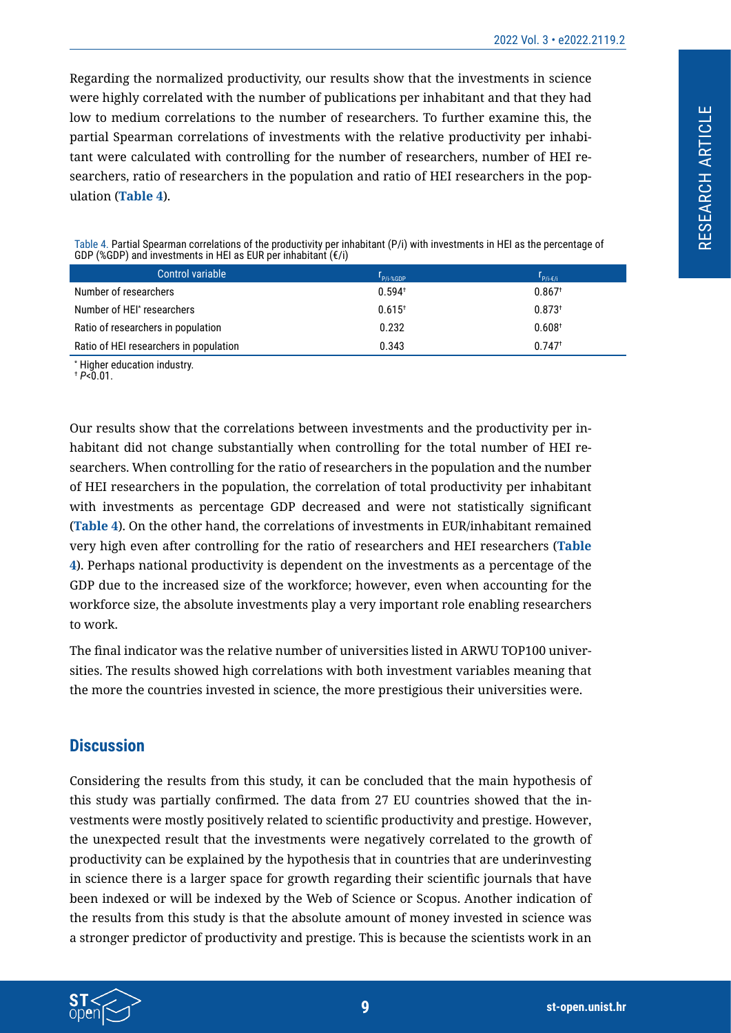Regarding the normalized productivity, our results show that the investments in science were highly correlated with the number of publications per inhabitant and that they had low to medium correlations to the number of researchers. To further examine this, the partial Spearman correlations of investments with the relative productivity per inhabitant were calculated with controlling for the number of researchers, number of HEI researchers, ratio of researchers in the population and ratio of HEI researchers in the population (**[Table 4](#page-8-0)**).

<span id="page-8-0"></span>Table 4. Partial Spearman correlations of the productivity per inhabitant (P/i) with investments in HEI as the percentage of GDP (%GDP) and investments in HEI as EUR per inhabitant  $(\epsilon/i)$ 

| Control variable                       | r<br>P/i-%GDP        | $r_{P/i-G/i}$        |
|----------------------------------------|----------------------|----------------------|
| Number of researchers                  | $0.594^{+}$          | $0.867$ <sup>+</sup> |
| Number of HEI* researchers             | $0.615$ <sup>+</sup> | $0.873^{+}$          |
| Ratio of researchers in population     | 0.232                | 0.608 <sup>†</sup>   |
| Ratio of HEI researchers in population | 0.343                | $0.747$ <sup>+</sup> |

\* Higher education industry.

 $+ P < 0.01$ .

Our results show that the correlations between investments and the productivity per inhabitant did not change substantially when controlling for the total number of HEI researchers. When controlling for the ratio of researchers in the population and the number of HEI researchers in the population, the correlation of total productivity per inhabitant with investments as percentage GDP decreased and were not statistically significant (**[Table 4](#page-8-0)**). On the other hand, the correlations of investments in EUR/inhabitant remained very high even after controlling for the ratio of researchers and HEI researchers (**[Table](#page-8-0)  [4](#page-8-0)**). Perhaps national productivity is dependent on the investments as a percentage of the GDP due to the increased size of the workforce; however, even when accounting for the workforce size, the absolute investments play a very important role enabling researchers to work.

The final indicator was the relative number of universities listed in ARWU TOP100 universities. The results showed high correlations with both investment variables meaning that the more the countries invested in science, the more prestigious their universities were.

# **Discussion**

Considering the results from this study, it can be concluded that the main hypothesis of this study was partially confirmed. The data from 27 EU countries showed that the investments were mostly positively related to scientific productivity and prestige. However, the unexpected result that the investments were negatively correlated to the growth of productivity can be explained by the hypothesis that in countries that are underinvesting in science there is a larger space for growth regarding their scientific journals that have been indexed or will be indexed by the Web of Science or Scopus. Another indication of the results from this study is that the absolute amount of money invested in science was a stronger predictor of productivity and prestige. This is because the scientists work in an

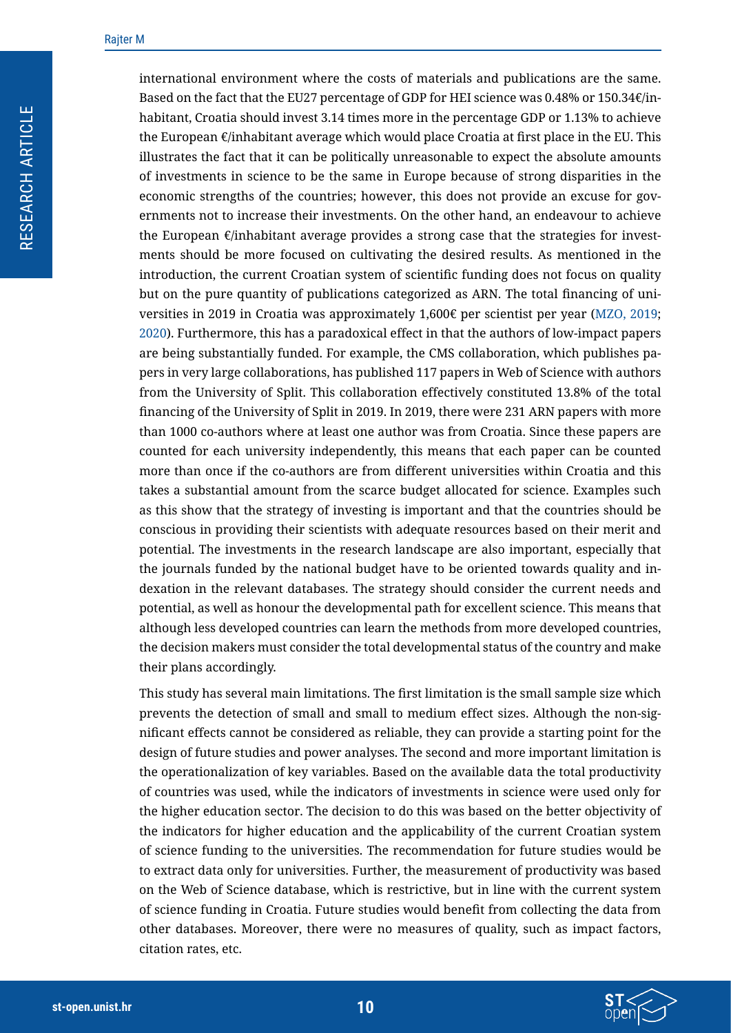international environment where the costs of materials and publications are the same. Based on the fact that the EU27 percentage of GDP for HEI science was 0.48% or 150.34€/inhabitant, Croatia should invest 3.14 times more in the percentage GDP or 1.13% to achieve the European  $\epsilon$ /inhabitant average which would place Croatia at first place in the EU. This illustrates the fact that it can be politically unreasonable to expect the absolute amounts of investments in science to be the same in Europe because of strong disparities in the economic strengths of the countries; however, this does not provide an excuse for governments not to increase their investments. On the other hand, an endeavour to achieve the European  $\epsilon$ /inhabitant average provides a strong case that the strategies for investments should be more focused on cultivating the desired results. As mentioned in the introduction, the current Croatian system of scientific funding does not focus on quality but on the pure quantity of publications categorized as ARN. The total financing of universities in 2019 in Croatia was approximately 1,600€ per scientist per year ([MZO, 2019;](#page-11-0) [2020\)](#page-11-1). Furthermore, this has a paradoxical effect in that the authors of low-impact papers are being substantially funded. For example, the CMS collaboration, which publishes papers in very large collaborations, has published 117 papers in Web of Science with authors from the University of Split. This collaboration effectively constituted 13.8% of the total financing of the University of Split in 2019. In 2019, there were 231 ARN papers with more than 1000 co-authors where at least one author was from Croatia. Since these papers are counted for each university independently, this means that each paper can be counted more than once if the co-authors are from different universities within Croatia and this takes a substantial amount from the scarce budget allocated for science. Examples such as this show that the strategy of investing is important and that the countries should be conscious in providing their scientists with adequate resources based on their merit and potential. The investments in the research landscape are also important, especially that the journals funded by the national budget have to be oriented towards quality and indexation in the relevant databases. The strategy should consider the current needs and potential, as well as honour the developmental path for excellent science. This means that although less developed countries can learn the methods from more developed countries, the decision makers must consider the total developmental status of the country and make their plans accordingly.

This study has several main limitations. The first limitation is the small sample size which prevents the detection of small and small to medium effect sizes. Although the non-significant effects cannot be considered as reliable, they can provide a starting point for the design of future studies and power analyses. The second and more important limitation is the operationalization of key variables. Based on the available data the total productivity of countries was used, while the indicators of investments in science were used only for the higher education sector. The decision to do this was based on the better objectivity of the indicators for higher education and the applicability of the current Croatian system of science funding to the universities. The recommendation for future studies would be to extract data only for universities. Further, the measurement of productivity was based on the Web of Science database, which is restrictive, but in line with the current system of science funding in Croatia. Future studies would benefit from collecting the data from other databases. Moreover, there were no measures of quality, such as impact factors, citation rates, etc.

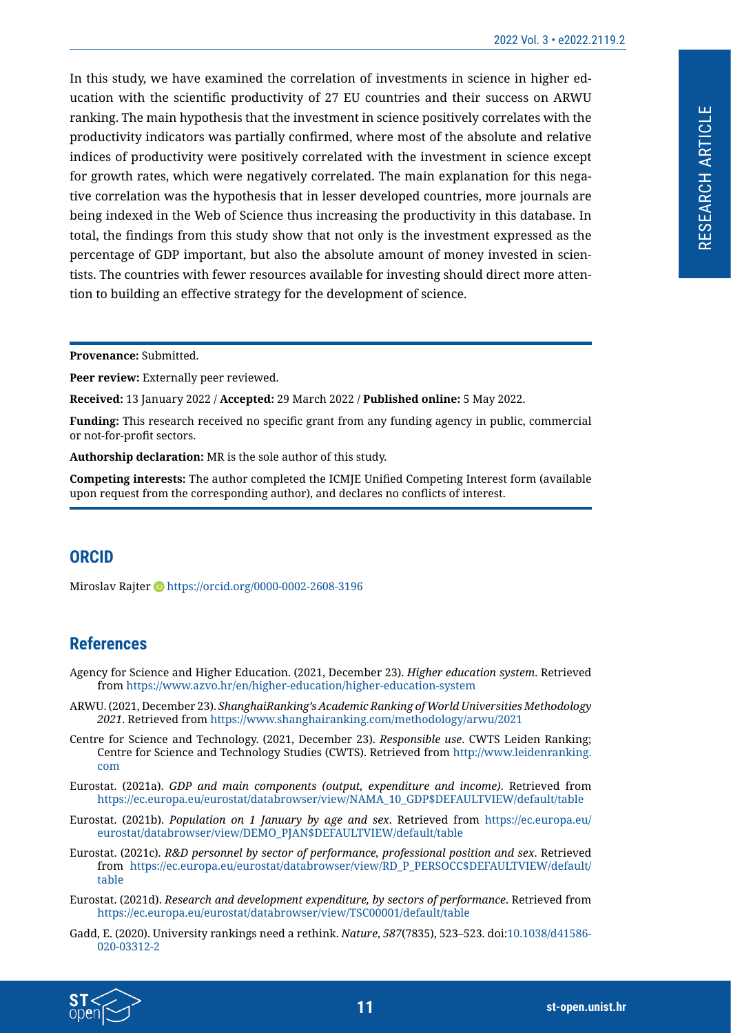RESEARCH ARTICLE

RESEARCH ARTICLE

In this study, we have examined the correlation of investments in science in higher education with the scientific productivity of 27 EU countries and their success on ARWU ranking. The main hypothesis that the investment in science positively correlates with the productivity indicators was partially confirmed, where most of the absolute and relative indices of productivity were positively correlated with the investment in science except for growth rates, which were negatively correlated. The main explanation for this negative correlation was the hypothesis that in lesser developed countries, more journals are being indexed in the Web of Science thus increasing the productivity in this database. In total, the findings from this study show that not only is the investment expressed as the percentage of GDP important, but also the absolute amount of money invested in scientists. The countries with fewer resources available for investing should direct more attention to building an effective strategy for the development of science.

**Provenance:** Submitted.

Peer review: Externally peer reviewed.

**Received:** 13 January 2022 / **Accepted:** 29 March 2022 / **Published online:** 5 May 2022.

**Funding:** This research received no specific grant from any funding agency in public, commercial or not-for-profit sectors.

**Authorship declaration:** MR is the sole author of this study.

**Competing interests:** The author completed the ICMJE Unified Competing Interest form (available upon request from the corresponding author), and declares no conflicts of interest.

# **ORCID**

Miroslav Rajter D<https://orcid.org/0000-0002-2608-3196>

# **References**

- Agency for Science and Higher Education. (2021, December 23). *Higher education system*. Retrieved from <https://www.azvo.hr/en/higher-education/higher-education-system>
- <span id="page-10-3"></span>ARWU. (2021, December 23). *ShanghaiRanking's Academic Ranking of World Universities Methodology 2021*. Retrieved from<https://www.shanghairanking.com/methodology/arwu/2021>
- <span id="page-10-1"></span>Centre for Science and Technology. (2021, December 23). *Responsible use*. CWTS Leiden Ranking; Centre for Science and Technology Studies (CWTS). Retrieved from [http://www.leidenranking.](http://www.leidenranking.com) [com](http://www.leidenranking.com)
- <span id="page-10-5"></span>Eurostat. (2021a). *GDP and main components (output, expenditure and income)*. Retrieved from [https://ec.europa.eu/eurostat/databrowser/view/NAMA\\_10\\_GDP\\$DEFAULTVIEW/default/table](https://ec.europa.eu/eurostat/databrowser/view/NAMA_10_GDP$DEFAULTVIEW/default/table)
- <span id="page-10-4"></span>Eurostat. (2021b). *Population on 1 January by age and sex*. Retrieved from [https://ec.europa.eu/](https://ec.europa.eu/eurostat/databrowser/view/DEMO_PJAN$DEFAULTVIEW/default/table) [eurostat/databrowser/view/DEMO\\_PJAN\\$DEFAULTVIEW/default/table](https://ec.europa.eu/eurostat/databrowser/view/DEMO_PJAN$DEFAULTVIEW/default/table)
- <span id="page-10-6"></span>Eurostat. (2021c). *R&D personnel by sector of performance, professional position and sex*. Retrieved from [https://ec.europa.eu/eurostat/databrowser/view/RD\\_P\\_PERSOCC\\$DEFAULTVIEW/default/](https://ec.europa.eu/eurostat/databrowser/view/RD_P_PERSOCC$DEFAULTVIEW/default/table) [table](https://ec.europa.eu/eurostat/databrowser/view/RD_P_PERSOCC$DEFAULTVIEW/default/table)
- <span id="page-10-0"></span>Eurostat. (2021d). *Research and development expenditure, by sectors of performance*. Retrieved from <https://ec.europa.eu/eurostat/databrowser/view/TSC00001/default/table>
- <span id="page-10-2"></span>Gadd, E. (2020). University rankings need a rethink. *Nature*, *587*(7835), 523–523. doi[:10.1038/d41586-](https://doi.org/10.1038/d41586-020-03312-2) [020-03312-2](https://doi.org/10.1038/d41586-020-03312-2)